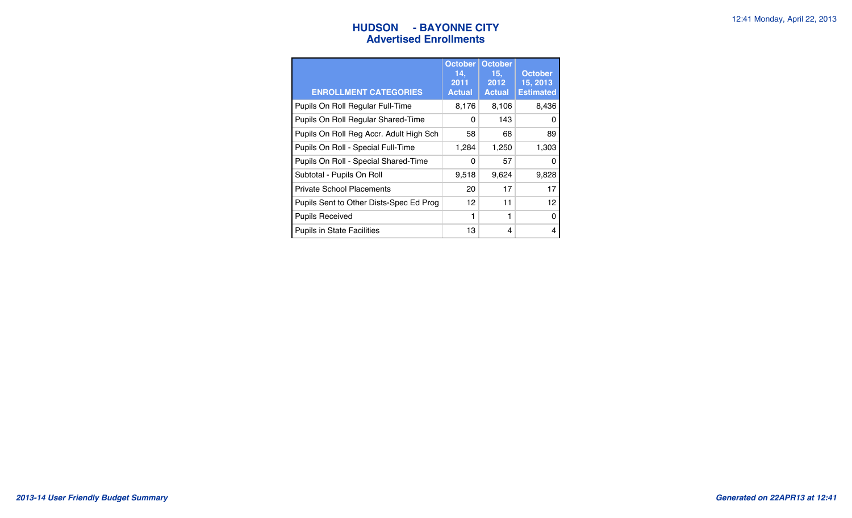### **HUDSON** - BAYONNE CITY **12:41 Monday, April 22, 2013 Advertised Enrollments**

| <b>ENROLLMENT CATEGORIES</b>            | <b>October</b><br>14.<br>2011<br><b>Actual</b> | <b>October</b><br>15.<br>2012<br><b>Actual</b> | <b>October</b><br>15, 2013<br><b>Estimated</b> |
|-----------------------------------------|------------------------------------------------|------------------------------------------------|------------------------------------------------|
| Pupils On Roll Regular Full-Time        | 8,176                                          | 8,106                                          | 8,436                                          |
| Pupils On Roll Regular Shared-Time      | 0                                              | 143                                            | O                                              |
| Pupils On Roll Reg Accr. Adult High Sch | 58                                             | 68                                             | 89                                             |
| Pupils On Roll - Special Full-Time      | 1,284                                          | 1,250                                          | 1,303                                          |
| Pupils On Roll - Special Shared-Time    | O                                              | 57                                             | O                                              |
| Subtotal - Pupils On Roll               | 9,518                                          | 9,624                                          | 9,828                                          |
| <b>Private School Placements</b>        | 20                                             | 17                                             | 17                                             |
| Pupils Sent to Other Dists-Spec Ed Prog | 12                                             | 11                                             | 12                                             |
| <b>Pupils Received</b>                  | 1                                              | 1                                              | O                                              |
| <b>Pupils in State Facilities</b>       | 13                                             | 4                                              | 4                                              |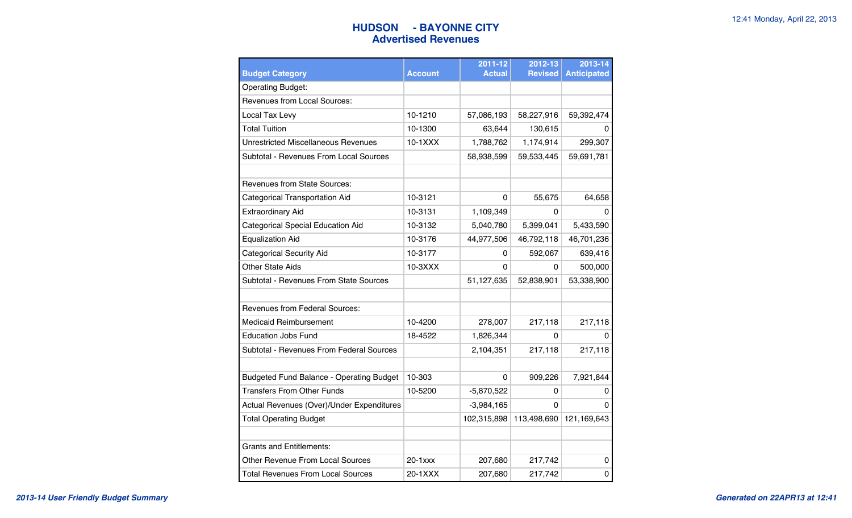### **HUDSON - BAYONNE CITY** 12:41 Monday, April 22, 2013 **Advertised Revenues**

|                                            |                | 2011-12       | 2012-13        | 2013-14            |
|--------------------------------------------|----------------|---------------|----------------|--------------------|
| <b>Budget Category</b>                     | <b>Account</b> | <b>Actual</b> | <b>Revised</b> | <b>Anticipated</b> |
| <b>Operating Budget:</b>                   |                |               |                |                    |
| <b>Revenues from Local Sources:</b>        |                |               |                |                    |
| Local Tax Levy                             | 10-1210        | 57,086,193    | 58,227,916     | 59,392,474         |
| <b>Total Tuition</b>                       | 10-1300        | 63,644        | 130,615        | 0                  |
| <b>Unrestricted Miscellaneous Revenues</b> | 10-1XXX        | 1,788,762     | 1,174,914      | 299,307            |
| Subtotal - Revenues From Local Sources     |                | 58,938,599    | 59,533,445     | 59,691,781         |
| <b>Revenues from State Sources:</b>        |                |               |                |                    |
| Categorical Transportation Aid             | 10-3121        | $\Omega$      | 55,675         | 64,658             |
| <b>Extraordinary Aid</b>                   | 10-3131        | 1,109,349     | 0              | O                  |
| <b>Categorical Special Education Aid</b>   | 10-3132        | 5,040,780     | 5,399,041      | 5,433,590          |
| <b>Equalization Aid</b>                    | 10-3176        | 44,977,506    | 46,792,118     | 46,701,236         |
| <b>Categorical Security Aid</b>            | 10-3177        | 0             | 592,067        | 639,416            |
| <b>Other State Aids</b>                    | $10-3XXX$      | 0             | 0              | 500,000            |
| Subtotal - Revenues From State Sources     |                | 51,127,635    | 52,838,901     | 53,338,900         |
| <b>Revenues from Federal Sources:</b>      |                |               |                |                    |
| <b>Medicaid Reimbursement</b>              | 10-4200        | 278,007       | 217,118        | 217,118            |
| <b>Education Jobs Fund</b>                 | 18-4522        | 1,826,344     | 0              | 0                  |
| Subtotal - Revenues From Federal Sources   |                | 2,104,351     | 217,118        | 217,118            |
|                                            |                |               |                |                    |
| Budgeted Fund Balance - Operating Budget   | 10-303         | 0             | 909,226        | 7,921,844          |
| <b>Transfers From Other Funds</b>          | 10-5200        | $-5,870,522$  | 0              | 0                  |
| Actual Revenues (Over)/Under Expenditures  |                | $-3,984,165$  | 0              | O                  |
| <b>Total Operating Budget</b>              |                | 102,315,898   | 113,498,690    | 121,169,643        |
| <b>Grants and Entitlements:</b>            |                |               |                |                    |
| Other Revenue From Local Sources           | $20 - 1$ $xxx$ | 207,680       | 217,742        | 0                  |
| <b>Total Revenues From Local Sources</b>   | 20-1XXX        | 207,680       | 217,742        | 0                  |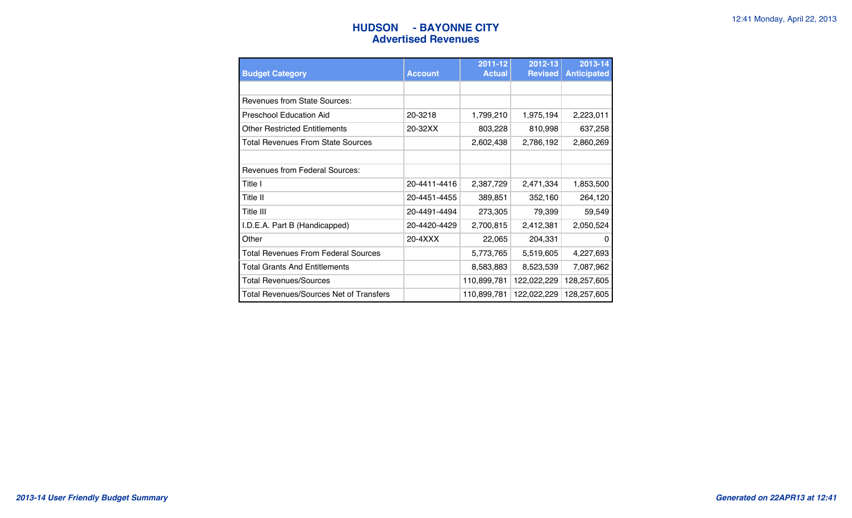### **HUDSON** - BAYONNE CITY **12:41 Monday, April 22, 2013 Advertised Revenues**

| <b>Budget Category</b>                     | <b>Account</b> | 2011-12<br><b>Actual</b> | 2012-13<br><b>Revised</b> | 2013-14<br><b>Anticipated</b> |
|--------------------------------------------|----------------|--------------------------|---------------------------|-------------------------------|
|                                            |                |                          |                           |                               |
| <b>Revenues from State Sources:</b>        |                |                          |                           |                               |
| Preschool Education Aid                    | 20-3218        | 1,799,210                | 1,975,194                 | 2,223,011                     |
| <b>Other Restricted Entitlements</b>       | 20-32XX        | 803,228                  | 810,998                   | 637,258                       |
| Total Revenues From State Sources          |                | 2,602,438                | 2,786,192                 | 2,860,269                     |
|                                            |                |                          |                           |                               |
| <b>Revenues from Federal Sources:</b>      |                |                          |                           |                               |
| Title I                                    | 20-4411-4416   | 2,387,729                | 2,471,334                 | 1,853,500                     |
| Title II                                   | 20-4451-4455   | 389,851                  | 352,160                   | 264,120                       |
| Title III                                  | 20-4491-4494   | 273,305                  | 79,399                    | 59,549                        |
| I.D.E.A. Part B (Handicapped)              | 20-4420-4429   | 2,700,815                | 2,412,381                 | 2,050,524                     |
| Other                                      | 20-4XXX        | 22,065                   | 204,331                   | $\Omega$                      |
| <b>Total Revenues From Federal Sources</b> |                | 5,773,765                | 5,519,605                 | 4,227,693                     |
| <b>Total Grants And Entitlements</b>       |                | 8,583,883                | 8,523,539                 | 7,087,962                     |
| <b>Total Revenues/Sources</b>              |                | 110,899,781              | 122,022,229               | 128,257,605                   |
| Total Revenues/Sources Net of Transfers    |                | 110,899,781              | 122,022,229               | 128,257,605                   |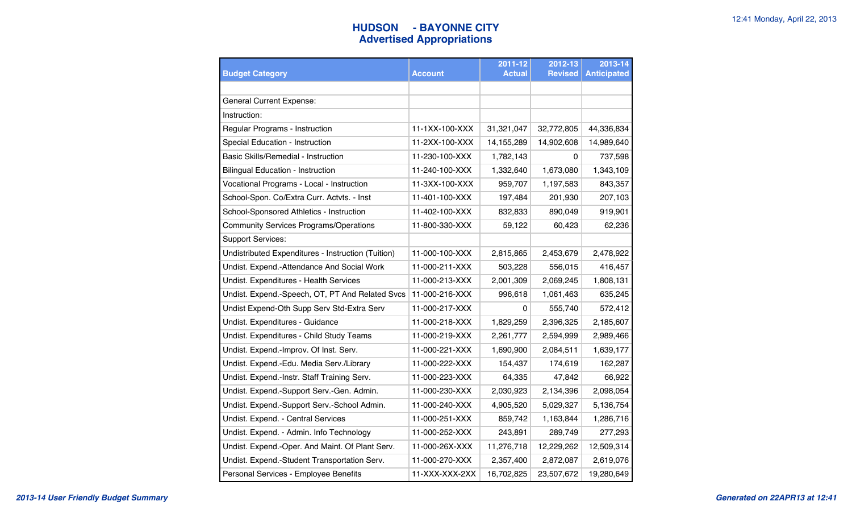# **HUDSON - BAYONNE CITY** 12:41 Monday, April 22, 2013 **Advertised Appropriations**

|                                                    |                | 2011-12       | 2012-13        | 2013-14            |
|----------------------------------------------------|----------------|---------------|----------------|--------------------|
| <b>Budget Category</b>                             | <b>Account</b> | <b>Actual</b> | <b>Revised</b> | <b>Anticipated</b> |
|                                                    |                |               |                |                    |
| <b>General Current Expense:</b>                    |                |               |                |                    |
| Instruction:                                       |                |               |                |                    |
| Regular Programs - Instruction                     | 11-1XX-100-XXX | 31,321,047    | 32,772,805     | 44,336,834         |
| Special Education - Instruction                    | 11-2XX-100-XXX | 14,155,289    | 14,902,608     | 14,989,640         |
| Basic Skills/Remedial - Instruction                | 11-230-100-XXX | 1,782,143     | 0              | 737,598            |
| <b>Bilingual Education - Instruction</b>           | 11-240-100-XXX | 1,332,640     | 1,673,080      | 1,343,109          |
| Vocational Programs - Local - Instruction          | 11-3XX-100-XXX | 959,707       | 1,197,583      | 843,357            |
| School-Spon. Co/Extra Curr. Actvts. - Inst         | 11-401-100-XXX | 197,484       | 201,930        | 207,103            |
| School-Sponsored Athletics - Instruction           | 11-402-100-XXX | 832,833       | 890,049        | 919,901            |
| <b>Community Services Programs/Operations</b>      | 11-800-330-XXX | 59,122        | 60,423         | 62,236             |
| <b>Support Services:</b>                           |                |               |                |                    |
| Undistributed Expenditures - Instruction (Tuition) | 11-000-100-XXX | 2,815,865     | 2,453,679      | 2,478,922          |
| Undist. Expend.-Attendance And Social Work         | 11-000-211-XXX | 503,228       | 556,015        | 416,457            |
| Undist. Expenditures - Health Services             | 11-000-213-XXX | 2,001,309     | 2,069,245      | 1,808,131          |
| Undist. Expend.-Speech, OT, PT And Related Svcs    | 11-000-216-XXX | 996,618       | 1,061,463      | 635,245            |
| Undist Expend-Oth Supp Serv Std-Extra Serv         | 11-000-217-XXX | 0             | 555,740        | 572,412            |
| Undist. Expenditures - Guidance                    | 11-000-218-XXX | 1,829,259     | 2,396,325      | 2,185,607          |
| Undist. Expenditures - Child Study Teams           | 11-000-219-XXX | 2,261,777     | 2,594,999      | 2,989,466          |
| Undist. Expend.-Improv. Of Inst. Serv.             | 11-000-221-XXX | 1,690,900     | 2,084,511      | 1,639,177          |
| Undist. Expend.-Edu. Media Serv./Library           | 11-000-222-XXX | 154,437       | 174,619        | 162,287            |
| Undist. Expend.-Instr. Staff Training Serv.        | 11-000-223-XXX | 64,335        | 47,842         | 66,922             |
| Undist. Expend.-Support Serv.-Gen. Admin.          | 11-000-230-XXX | 2,030,923     | 2,134,396      | 2,098,054          |
| Undist. Expend.-Support Serv.-School Admin.        | 11-000-240-XXX | 4,905,520     | 5,029,327      | 5,136,754          |
| Undist. Expend. - Central Services                 | 11-000-251-XXX | 859,742       | 1,163,844      | 1,286,716          |
| Undist. Expend. - Admin. Info Technology           | 11-000-252-XXX | 243,891       | 289,749        | 277,293            |
| Undist. Expend.-Oper. And Maint. Of Plant Serv.    | 11-000-26X-XXX | 11,276,718    | 12,229,262     | 12,509,314         |
| Undist. Expend.-Student Transportation Serv.       | 11-000-270-XXX | 2,357,400     | 2,872,087      | 2,619,076          |
| Personal Services - Employee Benefits              | 11-XXX-XXX-2XX | 16,702,825    | 23,507,672     | 19,280,649         |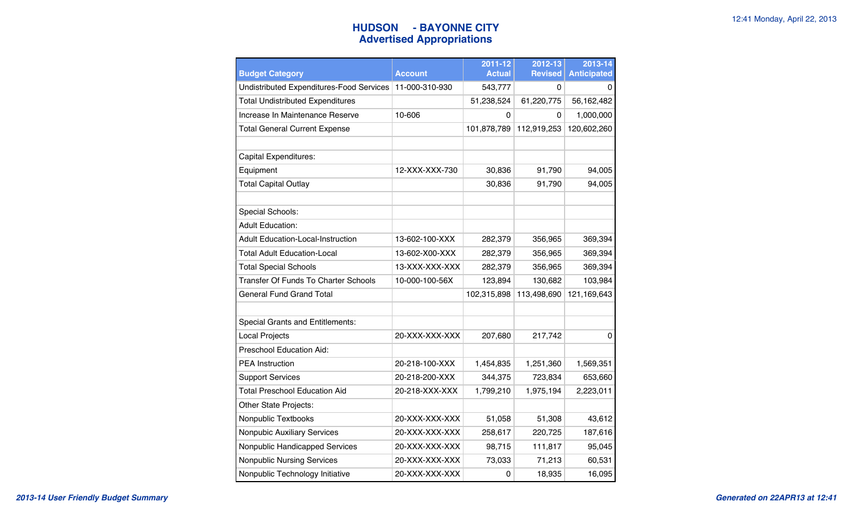# **HUDSON - BAYONNE CITY** 12:41 Monday, April 22, 2013 **Advertised Appropriations**

| <b>Budget Category</b>                          | <b>Account</b> | 2011-12<br><b>Actual</b> | 2012-13<br><b>Revised</b> | 2013-14<br><b>Anticipated</b> |
|-------------------------------------------------|----------------|--------------------------|---------------------------|-------------------------------|
| <b>Undistributed Expenditures-Food Services</b> | 11-000-310-930 | 543,777                  | 0                         | 0                             |
| <b>Total Undistributed Expenditures</b>         |                | 51,238,524               | 61,220,775                | 56,162,482                    |
| Increase In Maintenance Reserve                 | 10-606         | 0                        | 0                         | 1,000,000                     |
| <b>Total General Current Expense</b>            |                | 101,878,789              | 112,919,253               | 120,602,260                   |
|                                                 |                |                          |                           |                               |
| Capital Expenditures:                           |                |                          |                           |                               |
| Equipment                                       | 12-XXX-XXX-730 | 30,836                   | 91,790                    | 94,005                        |
| <b>Total Capital Outlay</b>                     |                | 30,836                   | 91,790                    | 94,005                        |
|                                                 |                |                          |                           |                               |
| Special Schools:                                |                |                          |                           |                               |
| <b>Adult Education:</b>                         |                |                          |                           |                               |
| <b>Adult Education-Local-Instruction</b>        | 13-602-100-XXX | 282,379                  | 356,965                   | 369,394                       |
| <b>Total Adult Education-Local</b>              | 13-602-X00-XXX | 282,379                  | 356,965                   | 369,394                       |
| <b>Total Special Schools</b>                    | 13-XXX-XXX-XXX | 282,379                  | 356,965                   | 369,394                       |
| <b>Transfer Of Funds To Charter Schools</b>     | 10-000-100-56X | 123,894                  | 130,682                   | 103,984                       |
| <b>General Fund Grand Total</b>                 |                | 102,315,898              | 113,498,690               | 121,169,643                   |
|                                                 |                |                          |                           |                               |
| <b>Special Grants and Entitlements:</b>         |                |                          |                           |                               |
| Local Projects                                  | 20-XXX-XXX-XXX | 207,680                  | 217,742                   | 0                             |
| Preschool Education Aid:                        |                |                          |                           |                               |
| <b>PEA Instruction</b>                          | 20-218-100-XXX | 1,454,835                | 1,251,360                 | 1,569,351                     |
| <b>Support Services</b>                         | 20-218-200-XXX | 344,375                  | 723,834                   | 653,660                       |
| <b>Total Preschool Education Aid</b>            | 20-218-XXX-XXX | 1,799,210                | 1,975,194                 | 2,223,011                     |
| Other State Projects:                           |                |                          |                           |                               |
| Nonpublic Textbooks                             | 20-XXX-XXX-XXX | 51,058                   | 51,308                    | 43,612                        |
| Nonpubic Auxiliary Services                     | 20-XXX-XXX-XXX | 258,617                  | 220,725                   | 187,616                       |
| Nonpublic Handicapped Services                  | 20-XXX-XXX-XXX | 98,715                   | 111,817                   | 95,045                        |
| <b>Nonpublic Nursing Services</b>               | 20-XXX-XXX-XXX | 73,033                   | 71,213                    | 60,531                        |
| Nonpublic Technology Initiative                 | 20-XXX-XXX-XXX | 0                        | 18,935                    | 16,095                        |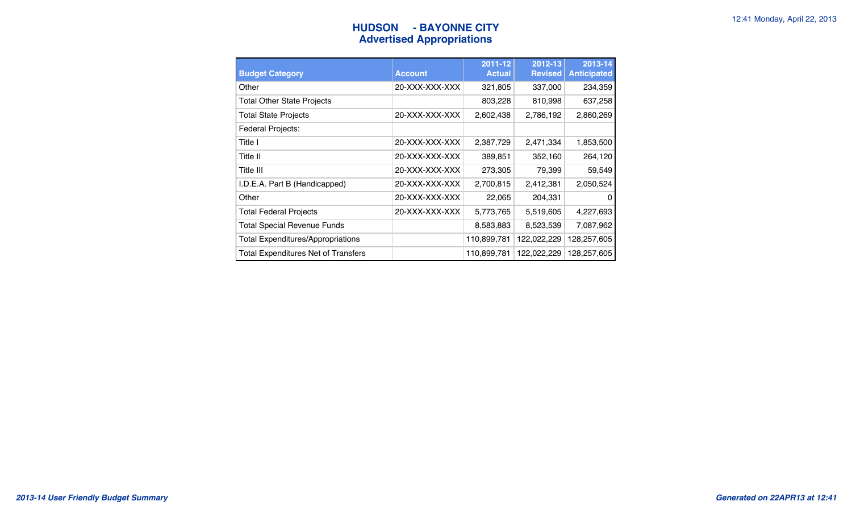# **HUDSON** - BAYONNE CITY **12:41 Monday, April 22, 2013 Advertised Appropriations**

| <b>Budget Category</b>                     | <b>Account</b> | 2011-12<br><b>Actual</b> | 2012-13<br><b>Revised</b> | 2013-14<br><b>Anticipated</b> |
|--------------------------------------------|----------------|--------------------------|---------------------------|-------------------------------|
| Other                                      | 20-XXX-XXX-XXX | 321,805                  | 337,000                   | 234,359                       |
| <b>Total Other State Projects</b>          |                | 803,228                  | 810,998                   | 637,258                       |
| <b>Total State Projects</b>                | 20-XXX-XXX-XXX | 2,602,438                | 2,786,192                 | 2,860,269                     |
| Federal Projects:                          |                |                          |                           |                               |
| Title I                                    | 20-XXX-XXX-XXX | 2,387,729                | 2,471,334                 | 1,853,500                     |
| Title II                                   | 20-XXX-XXX-XXX | 389,851                  | 352,160                   | 264,120                       |
| Title III                                  | 20-XXX-XXX-XXX | 273,305                  | 79,399                    | 59,549                        |
| I.D.E.A. Part B (Handicapped)              | 20-XXX-XXX-XXX | 2,700,815                | 2,412,381                 | 2,050,524                     |
| Other                                      | 20-XXX-XXX-XXX | 22,065                   | 204,331                   | 0                             |
| <b>Total Federal Projects</b>              | 20-XXX-XXX-XXX | 5,773,765                | 5,519,605                 | 4,227,693                     |
| <b>Total Special Revenue Funds</b>         |                | 8,583,883                | 8,523,539                 | 7,087,962                     |
| <b>Total Expenditures/Appropriations</b>   |                | 110,899,781              | 122,022,229               | 128,257,605                   |
| <b>Total Expenditures Net of Transfers</b> |                | 110,899,781              | 122,022,229               | 128,257,605                   |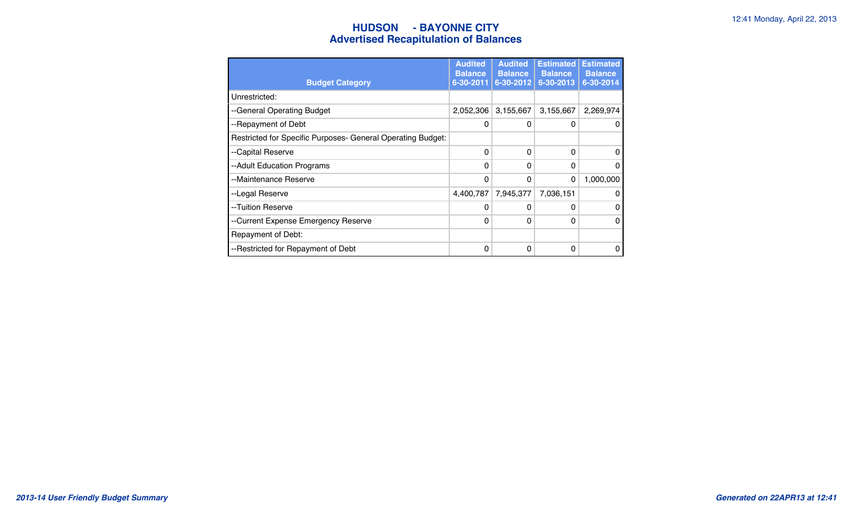### **HUDSON - BAYONNE CITY** 12:41 Monday, April 22, 2013 **Advertised Recapitulation of Balances**

| <b>Budget Category</b>                                      | <b>Audited</b><br><b>Balance</b><br>6-30-2011 | <b>Audited</b><br><b>Balance</b><br>6-30-2012 | <b>Estimated</b><br><b>Balance</b><br>6-30-2013 | <b>Estimated</b><br><b>Balance</b><br>6-30-2014 |
|-------------------------------------------------------------|-----------------------------------------------|-----------------------------------------------|-------------------------------------------------|-------------------------------------------------|
| Unrestricted:                                               |                                               |                                               |                                                 |                                                 |
| --General Operating Budget                                  | 2,052,306                                     | 3,155,667                                     | 3,155,667                                       | 2,269,974                                       |
| --Repayment of Debt                                         | 0                                             | 0                                             | 0                                               | $\mathbf{0}$                                    |
| Restricted for Specific Purposes- General Operating Budget: |                                               |                                               |                                                 |                                                 |
| --Capital Reserve                                           | $\Omega$                                      | $\Omega$                                      | $\Omega$                                        | 0                                               |
| --Adult Education Programs                                  | $\Omega$                                      | 0                                             | $\Omega$                                        | 0                                               |
| --Maintenance Reserve                                       | $\mathbf{0}$                                  | 0                                             | $\Omega$                                        | 1,000,000                                       |
| --Legal Reserve                                             | 4,400,787                                     | 7,945,377                                     | 7,036,151                                       | 0                                               |
| --Tuition Reserve                                           | 0                                             | 0                                             | $\Omega$                                        | 0                                               |
| --Current Expense Emergency Reserve                         | 0                                             | 0                                             | $\Omega$                                        | $\Omega$                                        |
| Repayment of Debt:                                          |                                               |                                               |                                                 |                                                 |
| --Restricted for Repayment of Debt                          | $\Omega$                                      | 0                                             | 0                                               | 0                                               |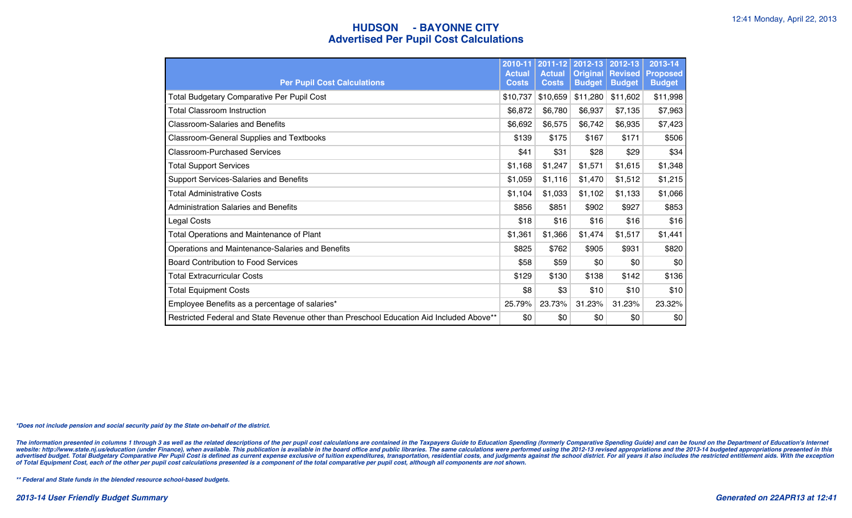### **HUDSON - BAYONNE CITY 12:41 Monday, April 22, 2013 Advertised Per Pupil Cost Calculations**

| <b>Per Pupil Cost Calculations</b>                                                       | 2010-11<br><b>Actual</b><br><b>Costs</b> | 2011-12<br><b>Actual</b><br><b>Costs</b> | 2012-13<br><b>Original</b><br><b>Budget</b> | 2012-13<br><b>Revised</b><br><b>Budget</b> | 2013-14<br><b>Proposed</b><br><b>Budget</b> |
|------------------------------------------------------------------------------------------|------------------------------------------|------------------------------------------|---------------------------------------------|--------------------------------------------|---------------------------------------------|
| Total Budgetary Comparative Per Pupil Cost                                               | \$10,737                                 | \$10,659                                 | \$11,280                                    | \$11,602                                   | \$11,998                                    |
| Total Classroom Instruction                                                              | \$6,872                                  | \$6,780                                  | \$6,937                                     | \$7,135                                    | \$7,963                                     |
| <b>Classroom-Salaries and Benefits</b>                                                   | \$6,692                                  | \$6,575                                  | \$6,742                                     | \$6,935                                    | \$7,423                                     |
| <b>Classroom-General Supplies and Textbooks</b>                                          | \$139                                    | \$175                                    | \$167                                       | \$171                                      | \$506                                       |
| <b>Classroom-Purchased Services</b>                                                      | \$41                                     | \$31                                     | \$28                                        | \$29                                       | \$34                                        |
| <b>Total Support Services</b>                                                            | \$1,168                                  | \$1,247                                  | \$1,571                                     | \$1,615                                    | \$1,348                                     |
| Support Services-Salaries and Benefits                                                   | \$1,059                                  | \$1,116                                  | \$1,470                                     | \$1,512                                    | \$1,215                                     |
| Total Administrative Costs                                                               | \$1,104                                  | \$1,033                                  | \$1,102                                     | \$1,133                                    | \$1,066                                     |
| <b>Administration Salaries and Benefits</b>                                              | \$856                                    | \$851                                    | \$902                                       | \$927                                      | \$853                                       |
| Legal Costs                                                                              | \$18                                     | \$16                                     | \$16                                        | \$16                                       | \$16                                        |
| Total Operations and Maintenance of Plant                                                | \$1,361                                  | \$1,366                                  | \$1,474                                     | \$1,517                                    | \$1,441                                     |
| Operations and Maintenance-Salaries and Benefits                                         | \$825                                    | \$762                                    | \$905                                       | \$931                                      | \$820                                       |
| <b>Board Contribution to Food Services</b>                                               | \$58                                     | \$59                                     | \$0                                         | \$0                                        | \$0                                         |
| Total Extracurricular Costs                                                              | \$129                                    | \$130                                    | \$138                                       | \$142                                      | \$136                                       |
| <b>Total Equipment Costs</b>                                                             | \$8                                      | \$3                                      | \$10                                        | \$10                                       | \$10                                        |
| Employee Benefits as a percentage of salaries*                                           | 25.79%                                   | 23.73%                                   | 31.23%                                      | 31.23%                                     | 23.32%                                      |
| Restricted Federal and State Revenue other than Preschool Education Aid Included Above** | \$0                                      | \$0                                      | \$0                                         | \$0                                        | \$0                                         |

*\*Does not include pension and social security paid by the State on-behalf of the district.*

The information presented in columns 1 through 3 as well as the related descriptions of the per pupil cost calculations are contained in the Taxpayers Guide to Education Spending (formerly Comparative Spending Guide) and c website: http://www.state.nj.us/education (under Finance), when available. This publication is available in the board office and public libraries. The same calculations were performed using the 2012-13 revised appropriatio advertised budget. Total Budgetary Comparative Per Pupil Cost is defined as current expense exclusive of tuition expenditures, transportation, residential costs, and judgments against the school district. For all years it

*\*\* Federal and State funds in the blended resource school-based budgets.*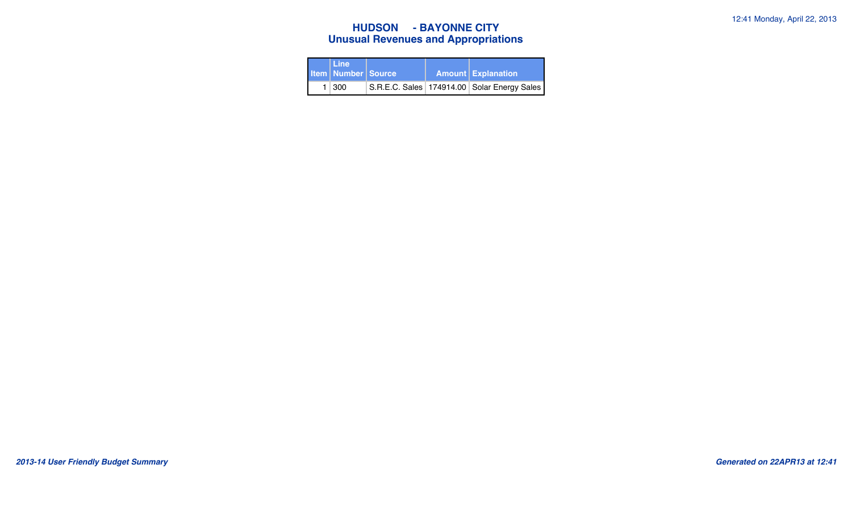# **HUDSON - BAYONNE CITY 12:41 Monday, April 22, 2013 Unusual Revenues and Appropriations**

| l Line<br><b>Item Number Source</b> |  | <b>Amount Explanation</b>                       |
|-------------------------------------|--|-------------------------------------------------|
| $1 \mid 300$                        |  | S.R.E.C. Sales   174914.00   Solar Energy Sales |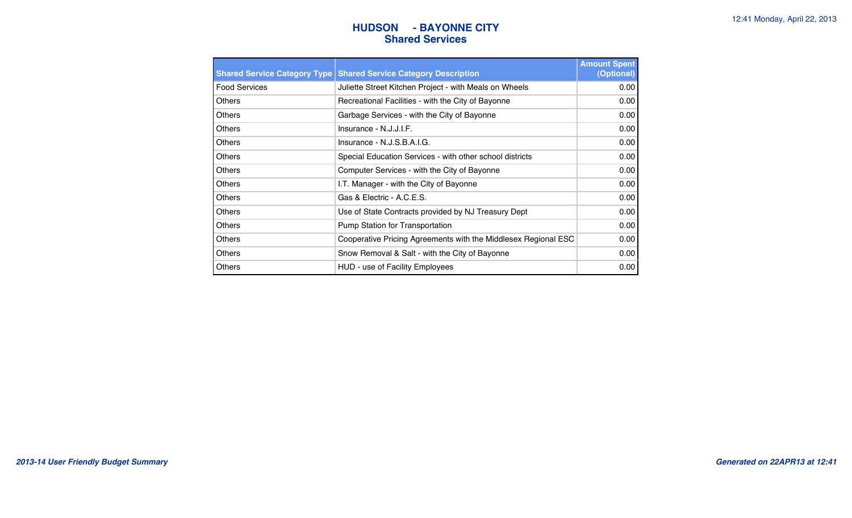### **HUDSON** - BAYONNE CITY **12:41 Monday, April 22, 2013 Shared Services**

|                      | <b>Shared Service Category Type Shared Service Category Description</b> | <b>Amount Spent</b><br>(Optional) |
|----------------------|-------------------------------------------------------------------------|-----------------------------------|
| <b>Food Services</b> | Juliette Street Kitchen Project - with Meals on Wheels                  | 0.00                              |
| <b>Others</b>        | Recreational Facilities - with the City of Bayonne                      | 0.00                              |
| Others               | Garbage Services - with the City of Bayonne                             | 0.00                              |
| Others               | $Insurance - N.J.J.I.F.$                                                | 0.00                              |
| <b>Others</b>        | Insurance - N.J.S.B.A.I.G.                                              | 0.00                              |
| <b>Others</b>        | Special Education Services - with other school districts                | 0.00                              |
| Others               | Computer Services - with the City of Bayonne                            | 0.00                              |
| Others               | I.T. Manager - with the City of Bayonne                                 | 0.00                              |
| <b>Others</b>        | Gas & Electric - A.C.E.S.                                               | 0.00                              |
| <b>Others</b>        | Use of State Contracts provided by NJ Treasury Dept                     | 0.00                              |
| Others               | Pump Station for Transportation                                         | 0.00                              |
| Others               | Cooperative Pricing Agreements with the Middlesex Regional ESC          | 0.00                              |
| Others               | Snow Removal & Salt - with the City of Bayonne                          | 0.00                              |
| Others               | HUD - use of Facility Employees                                         | 0.00                              |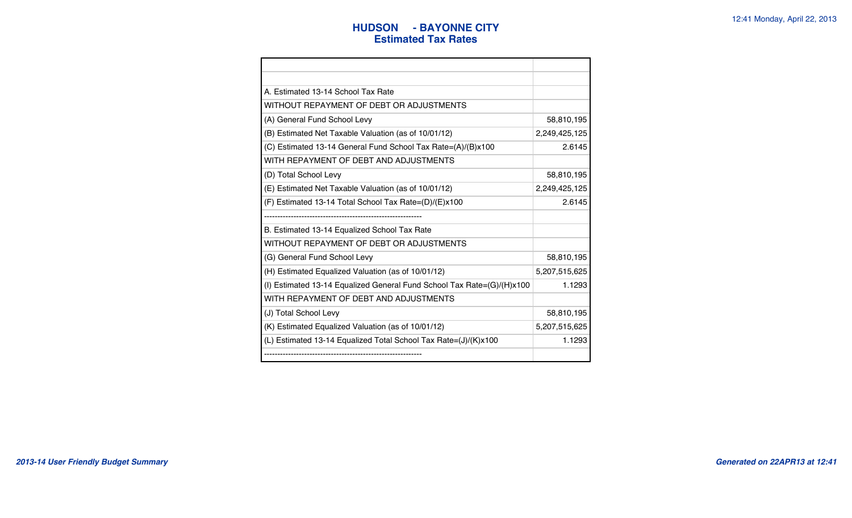### **HUDSON** - BAYONNE CITY **12:41 Monday, April 22, 2013 Estimated Tax Rates**

| A. Estimated 13-14 School Tax Rate                                     |               |
|------------------------------------------------------------------------|---------------|
| WITHOUT REPAYMENT OF DEBT OR ADJUSTMENTS                               |               |
| (A) General Fund School Levy                                           | 58,810,195    |
| (B) Estimated Net Taxable Valuation (as of 10/01/12)                   | 2,249,425,125 |
| (C) Estimated 13-14 General Fund School Tax Rate=(A)/(B)x100           | 2.6145        |
| WITH REPAYMENT OF DEBT AND ADJUSTMENTS                                 |               |
| (D) Total School Levy                                                  | 58,810,195    |
| (E) Estimated Net Taxable Valuation (as of 10/01/12)                   | 2,249,425,125 |
| (F) Estimated 13-14 Total School Tax Rate=(D)/(E)x100                  | 2.6145        |
|                                                                        |               |
| B. Estimated 13-14 Equalized School Tax Rate                           |               |
| WITHOUT REPAYMENT OF DEBT OR ADJUSTMENTS                               |               |
| (G) General Fund School Levy                                           | 58,810,195    |
| (H) Estimated Equalized Valuation (as of 10/01/12)                     | 5,207,515,625 |
| (I) Estimated 13-14 Equalized General Fund School Tax Rate=(G)/(H)x100 | 1.1293        |
| WITH REPAYMENT OF DEBT AND ADJUSTMENTS                                 |               |
| (J) Total School Levy                                                  | 58,810,195    |
| (K) Estimated Equalized Valuation (as of 10/01/12)                     | 5,207,515,625 |
| (L) Estimated 13-14 Equalized Total School Tax Rate=(J)/(K)x100        | 1.1293        |
|                                                                        |               |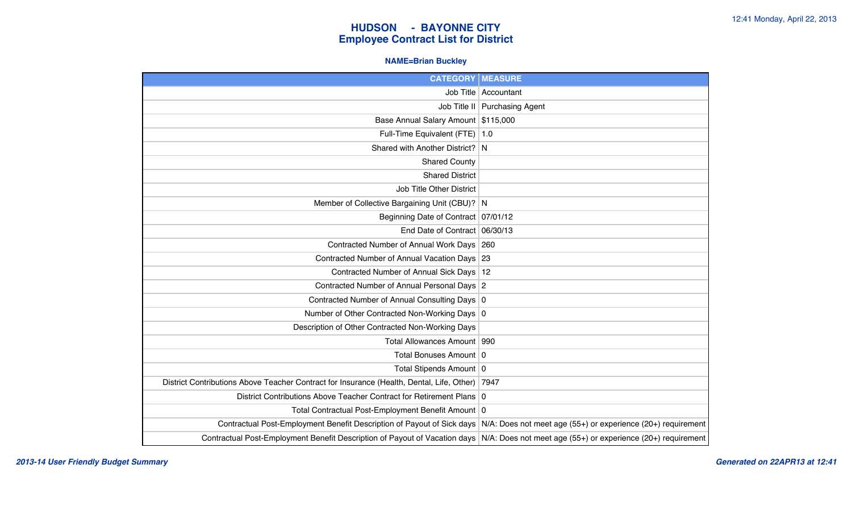#### **NAME=Brian Buckley**

| <b>CATEGORY</b>                                                                           | <b>MEASURE</b>                                               |
|-------------------------------------------------------------------------------------------|--------------------------------------------------------------|
| Job Title                                                                                 | Accountant                                                   |
|                                                                                           | Job Title II   Purchasing Agent                              |
| Base Annual Salary Amount \$115,000                                                       |                                                              |
| Full-Time Equivalent (FTE)                                                                | $\vert$ 1.0                                                  |
| Shared with Another District? N                                                           |                                                              |
| <b>Shared County</b>                                                                      |                                                              |
| <b>Shared District</b>                                                                    |                                                              |
| Job Title Other District                                                                  |                                                              |
| Member of Collective Bargaining Unit (CBU)? N                                             |                                                              |
| Beginning Date of Contract   07/01/12                                                     |                                                              |
| End Date of Contract 06/30/13                                                             |                                                              |
| Contracted Number of Annual Work Days 260                                                 |                                                              |
| Contracted Number of Annual Vacation Days 23                                              |                                                              |
| Contracted Number of Annual Sick Days   12                                                |                                                              |
| Contracted Number of Annual Personal Days 2                                               |                                                              |
| Contracted Number of Annual Consulting Days 0                                             |                                                              |
| Number of Other Contracted Non-Working Days 0                                             |                                                              |
| Description of Other Contracted Non-Working Days                                          |                                                              |
| Total Allowances Amount   990                                                             |                                                              |
| Total Bonuses Amount   0                                                                  |                                                              |
| Total Stipends Amount   0                                                                 |                                                              |
| District Contributions Above Teacher Contract for Insurance (Health, Dental, Life, Other) | 7947                                                         |
| District Contributions Above Teacher Contract for Retirement Plans 0                      |                                                              |
| Total Contractual Post-Employment Benefit Amount 0                                        |                                                              |
| Contractual Post-Employment Benefit Description of Payout of Sick days                    | N/A: Does not meet age (55+) or experience (20+) requirement |
| Contractual Post-Employment Benefit Description of Payout of Vacation days                | N/A: Does not meet age (55+) or experience (20+) requirement |

*2013-14 User Friendly Budget Summary Generated on 22APR13 at 12:41*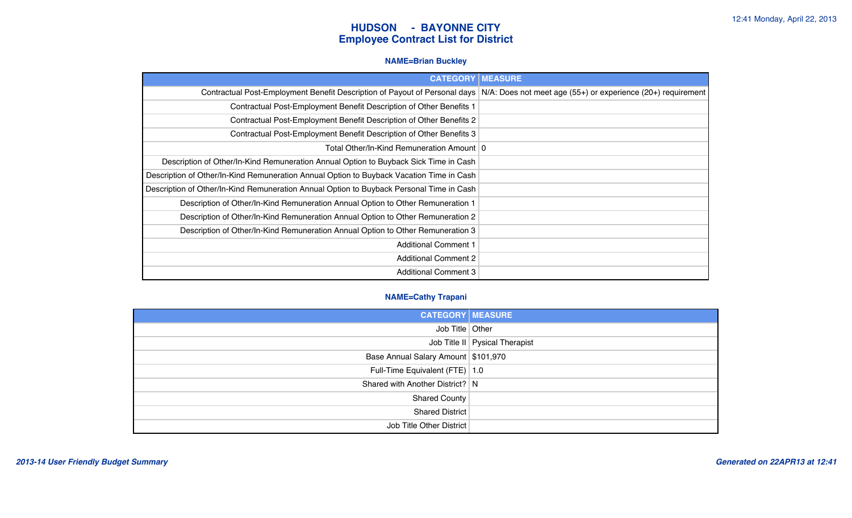#### **NAME=Brian Buckley**

| <b>CATEGORY</b>                                                                          | <b>MEASURE</b>                                               |
|------------------------------------------------------------------------------------------|--------------------------------------------------------------|
| Contractual Post-Employment Benefit Description of Payout of Personal days               | N/A: Does not meet age (55+) or experience (20+) requirement |
| Contractual Post-Employment Benefit Description of Other Benefits 1                      |                                                              |
| Contractual Post-Employment Benefit Description of Other Benefits 2                      |                                                              |
| Contractual Post-Employment Benefit Description of Other Benefits 3                      |                                                              |
| Total Other/In-Kind Remuneration Amount   0                                              |                                                              |
| Description of Other/In-Kind Remuneration Annual Option to Buyback Sick Time in Cash     |                                                              |
| Description of Other/In-Kind Remuneration Annual Option to Buyback Vacation Time in Cash |                                                              |
| Description of Other/In-Kind Remuneration Annual Option to Buyback Personal Time in Cash |                                                              |
| Description of Other/In-Kind Remuneration Annual Option to Other Remuneration 1          |                                                              |
| Description of Other/In-Kind Remuneration Annual Option to Other Remuneration 2          |                                                              |
| Description of Other/In-Kind Remuneration Annual Option to Other Remuneration 3          |                                                              |
| <b>Additional Comment 1</b>                                                              |                                                              |
| <b>Additional Comment 2</b>                                                              |                                                              |
| <b>Additional Comment 3</b>                                                              |                                                              |

#### **NAME=Cathy Trapani**

| <b>CATEGORY MEASURE</b>             |                                  |
|-------------------------------------|----------------------------------|
| Job Title   Other                   |                                  |
|                                     | Job Title II   Pysical Therapist |
| Base Annual Salary Amount \$101,970 |                                  |
| Full-Time Equivalent (FTE) 1.0      |                                  |
| Shared with Another District?   N   |                                  |
| Shared County                       |                                  |
| Shared District                     |                                  |
| Job Title Other District            |                                  |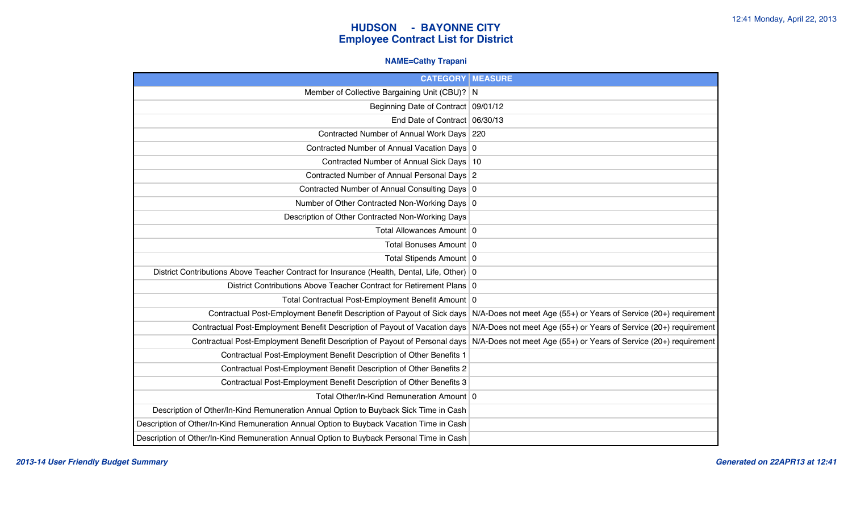#### **NAME=Cathy Trapani**

| <b>CATEGORY   MEASURE</b>                                                                     |                                                                   |
|-----------------------------------------------------------------------------------------------|-------------------------------------------------------------------|
| Member of Collective Bargaining Unit (CBU)? N                                                 |                                                                   |
| Beginning Date of Contract 09/01/12                                                           |                                                                   |
| End Date of Contract 06/30/13                                                                 |                                                                   |
| Contracted Number of Annual Work Days 220                                                     |                                                                   |
| Contracted Number of Annual Vacation Days 0                                                   |                                                                   |
| Contracted Number of Annual Sick Days 10                                                      |                                                                   |
| Contracted Number of Annual Personal Days 2                                                   |                                                                   |
| Contracted Number of Annual Consulting Days 0                                                 |                                                                   |
| Number of Other Contracted Non-Working Days 0                                                 |                                                                   |
| Description of Other Contracted Non-Working Days                                              |                                                                   |
| Total Allowances Amount 0                                                                     |                                                                   |
| Total Bonuses Amount 0                                                                        |                                                                   |
| Total Stipends Amount 0                                                                       |                                                                   |
| District Contributions Above Teacher Contract for Insurance (Health, Dental, Life, Other)   0 |                                                                   |
| District Contributions Above Teacher Contract for Retirement Plans 0                          |                                                                   |
| Total Contractual Post-Employment Benefit Amount 0                                            |                                                                   |
| Contractual Post-Employment Benefit Description of Payout of Sick days                        | N/A-Does not meet Age (55+) or Years of Service (20+) requirement |
| Contractual Post-Employment Benefit Description of Payout of Vacation days                    | N/A-Does not meet Age (55+) or Years of Service (20+) requirement |
| Contractual Post-Employment Benefit Description of Payout of Personal days                    | N/A-Does not meet Age (55+) or Years of Service (20+) requirement |
| Contractual Post-Employment Benefit Description of Other Benefits 1                           |                                                                   |
| Contractual Post-Employment Benefit Description of Other Benefits 2                           |                                                                   |
| Contractual Post-Employment Benefit Description of Other Benefits 3                           |                                                                   |
| Total Other/In-Kind Remuneration Amount   0                                                   |                                                                   |
| Description of Other/In-Kind Remuneration Annual Option to Buyback Sick Time in Cash          |                                                                   |
| Description of Other/In-Kind Remuneration Annual Option to Buyback Vacation Time in Cash      |                                                                   |
| Description of Other/In-Kind Remuneration Annual Option to Buyback Personal Time in Cash      |                                                                   |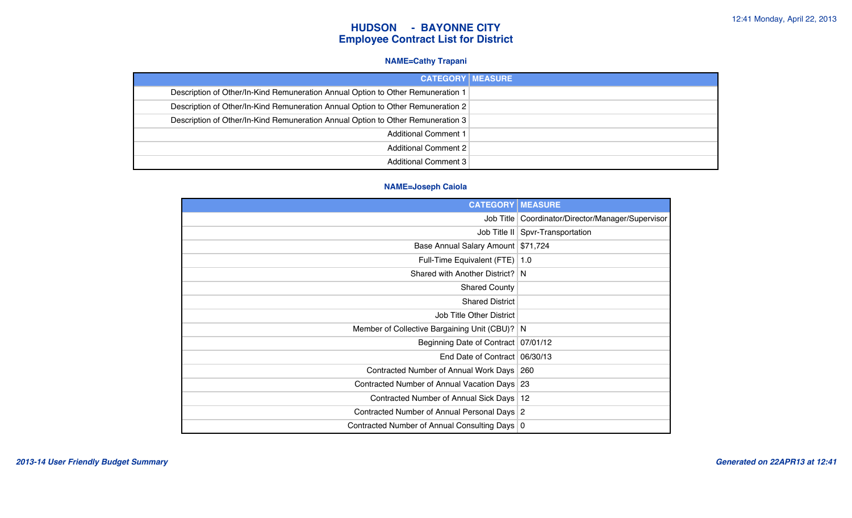#### **NAME=Cathy Trapani**

| <b>CATEGORY MEASURE</b>                                                         |  |
|---------------------------------------------------------------------------------|--|
| Description of Other/In-Kind Remuneration Annual Option to Other Remuneration 1 |  |
| Description of Other/In-Kind Remuneration Annual Option to Other Remuneration 2 |  |
| Description of Other/In-Kind Remuneration Annual Option to Other Remuneration 3 |  |
| <b>Additional Comment 1</b>                                                     |  |
| Additional Comment 2                                                            |  |
| Additional Comment 3                                                            |  |

#### **NAME=Joseph Caiola**

| <b>CATEGORY</b>                                 | <b>MEASURE</b>                                      |
|-------------------------------------------------|-----------------------------------------------------|
|                                                 | Job Title   Coordinator/Director/Manager/Supervisor |
|                                                 | Job Title II   Spvr-Transportation                  |
| Base Annual Salary Amount \$71,724              |                                                     |
| Full-Time Equivalent (FTE) 1.0                  |                                                     |
| Shared with Another District? N                 |                                                     |
| <b>Shared County</b>                            |                                                     |
| <b>Shared District</b>                          |                                                     |
| <b>Job Title Other District</b>                 |                                                     |
| Member of Collective Bargaining Unit (CBU)? N   |                                                     |
| Beginning Date of Contract   07/01/12           |                                                     |
| End Date of Contract 06/30/13                   |                                                     |
| Contracted Number of Annual Work Days   260     |                                                     |
| Contracted Number of Annual Vacation Days 23    |                                                     |
| Contracted Number of Annual Sick Days   12      |                                                     |
| Contracted Number of Annual Personal Days 2     |                                                     |
| Contracted Number of Annual Consulting Days   0 |                                                     |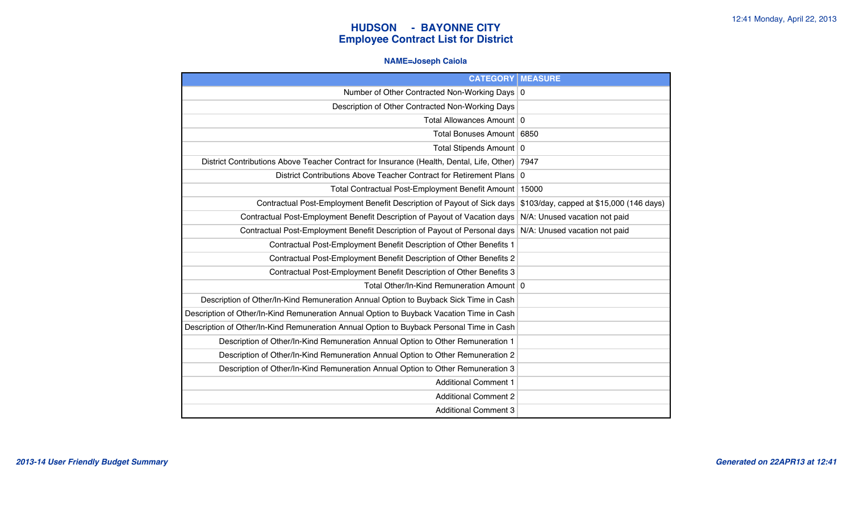#### **NAME=Joseph Caiola**

| <b>CATEGORY   MEASURE</b>                                                                 |                                          |
|-------------------------------------------------------------------------------------------|------------------------------------------|
| Number of Other Contracted Non-Working Days 0                                             |                                          |
| Description of Other Contracted Non-Working Days                                          |                                          |
| Total Allowances Amount   0                                                               |                                          |
| Total Bonuses Amount   6850                                                               |                                          |
| Total Stipends Amount   0                                                                 |                                          |
| District Contributions Above Teacher Contract for Insurance (Health, Dental, Life, Other) | 7947                                     |
| District Contributions Above Teacher Contract for Retirement Plans                        | $\mathbf 0$                              |
| Total Contractual Post-Employment Benefit Amount                                          | 15000                                    |
| Contractual Post-Employment Benefit Description of Payout of Sick days                    | \$103/day, capped at \$15,000 (146 days) |
| Contractual Post-Employment Benefit Description of Payout of Vacation days                | N/A: Unused vacation not paid            |
| Contractual Post-Employment Benefit Description of Payout of Personal days                | N/A: Unused vacation not paid            |
| Contractual Post-Employment Benefit Description of Other Benefits 1                       |                                          |
| Contractual Post-Employment Benefit Description of Other Benefits 2                       |                                          |
| Contractual Post-Employment Benefit Description of Other Benefits 3                       |                                          |
| Total Other/In-Kind Remuneration Amount   0                                               |                                          |
| Description of Other/In-Kind Remuneration Annual Option to Buyback Sick Time in Cash      |                                          |
| Description of Other/In-Kind Remuneration Annual Option to Buyback Vacation Time in Cash  |                                          |
| Description of Other/In-Kind Remuneration Annual Option to Buyback Personal Time in Cash  |                                          |
| Description of Other/In-Kind Remuneration Annual Option to Other Remuneration 1           |                                          |
| Description of Other/In-Kind Remuneration Annual Option to Other Remuneration 2           |                                          |
| Description of Other/In-Kind Remuneration Annual Option to Other Remuneration 3           |                                          |
| <b>Additional Comment 1</b>                                                               |                                          |
| <b>Additional Comment 2</b>                                                               |                                          |
| <b>Additional Comment 3</b>                                                               |                                          |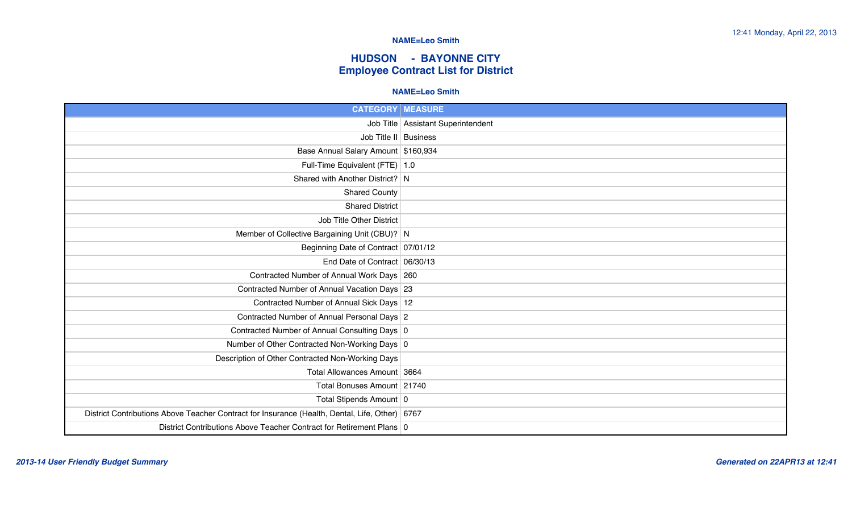### **HUDSON - BAYONNE CITY Employee Contract List for District**

#### **NAME=Leo Smith**

| <b>CATEGORY   MEASURE</b>                                                                      |                                      |
|------------------------------------------------------------------------------------------------|--------------------------------------|
|                                                                                                | Job Title   Assistant Superintendent |
|                                                                                                | Job Title II Business                |
| Base Annual Salary Amount \$160,934                                                            |                                      |
| Full-Time Equivalent (FTE) 1.0                                                                 |                                      |
| Shared with Another District? N                                                                |                                      |
| <b>Shared County</b>                                                                           |                                      |
| <b>Shared District</b>                                                                         |                                      |
| Job Title Other District                                                                       |                                      |
| Member of Collective Bargaining Unit (CBU)? N                                                  |                                      |
| Beginning Date of Contract 07/01/12                                                            |                                      |
| End Date of Contract 06/30/13                                                                  |                                      |
| Contracted Number of Annual Work Days 260                                                      |                                      |
| Contracted Number of Annual Vacation Days 23                                                   |                                      |
| Contracted Number of Annual Sick Days 12                                                       |                                      |
| Contracted Number of Annual Personal Days 2                                                    |                                      |
| Contracted Number of Annual Consulting Days 0                                                  |                                      |
| Number of Other Contracted Non-Working Days 0                                                  |                                      |
| Description of Other Contracted Non-Working Days                                               |                                      |
| Total Allowances Amount 3664                                                                   |                                      |
| Total Bonuses Amount 21740                                                                     |                                      |
| Total Stipends Amount 0                                                                        |                                      |
| District Contributions Above Teacher Contract for Insurance (Health, Dental, Life, Other) 6767 |                                      |
| District Contributions Above Teacher Contract for Retirement Plans 0                           |                                      |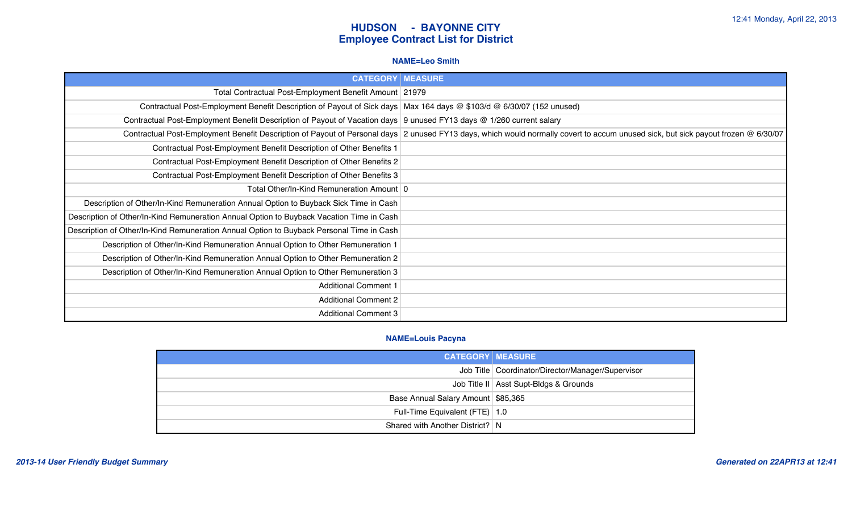#### **NAME=Leo Smith**

| <b>CATEGORY   MEASURE</b>                                                                                              |                                                                                                                                                                                   |
|------------------------------------------------------------------------------------------------------------------------|-----------------------------------------------------------------------------------------------------------------------------------------------------------------------------------|
| Total Contractual Post-Employment Benefit Amount 21979                                                                 |                                                                                                                                                                                   |
| Contractual Post-Employment Benefit Description of Payout of Sick days   Max 164 days @ \$103/d @ 6/30/07 (152 unused) |                                                                                                                                                                                   |
| Contractual Post-Employment Benefit Description of Payout of Vacation days 9 unused FY13 days @ 1/260 current salary   |                                                                                                                                                                                   |
|                                                                                                                        | Contractual Post-Employment Benefit Description of Payout of Personal days 2 unused FY13 days, which would normally covert to accum unused sick, but sick payout frozen @ 6/30/07 |
| Contractual Post-Employment Benefit Description of Other Benefits 1                                                    |                                                                                                                                                                                   |
| Contractual Post-Employment Benefit Description of Other Benefits 2                                                    |                                                                                                                                                                                   |
| Contractual Post-Employment Benefit Description of Other Benefits 3                                                    |                                                                                                                                                                                   |
| Total Other/In-Kind Remuneration Amount   0                                                                            |                                                                                                                                                                                   |
| Description of Other/In-Kind Remuneration Annual Option to Buyback Sick Time in Cash                                   |                                                                                                                                                                                   |
| Description of Other/In-Kind Remuneration Annual Option to Buyback Vacation Time in Cash                               |                                                                                                                                                                                   |
| Description of Other/In-Kind Remuneration Annual Option to Buyback Personal Time in Cash                               |                                                                                                                                                                                   |
| Description of Other/In-Kind Remuneration Annual Option to Other Remuneration 1                                        |                                                                                                                                                                                   |
| Description of Other/In-Kind Remuneration Annual Option to Other Remuneration 2                                        |                                                                                                                                                                                   |
| Description of Other/In-Kind Remuneration Annual Option to Other Remuneration 3                                        |                                                                                                                                                                                   |
| <b>Additional Comment 1</b>                                                                                            |                                                                                                                                                                                   |
| <b>Additional Comment 2</b>                                                                                            |                                                                                                                                                                                   |
| <b>Additional Comment 3</b>                                                                                            |                                                                                                                                                                                   |

#### **NAME=Louis Pacyna**

| <b>CATEGORY MEASURE</b>            |                                                     |
|------------------------------------|-----------------------------------------------------|
|                                    | Job Title   Coordinator/Director/Manager/Supervisor |
|                                    | Job Title II   Asst Supt-Bldgs & Grounds            |
| Base Annual Salary Amount \$85,365 |                                                     |
| Full-Time Equivalent (FTE)   1.0   |                                                     |
| Shared with Another District? N    |                                                     |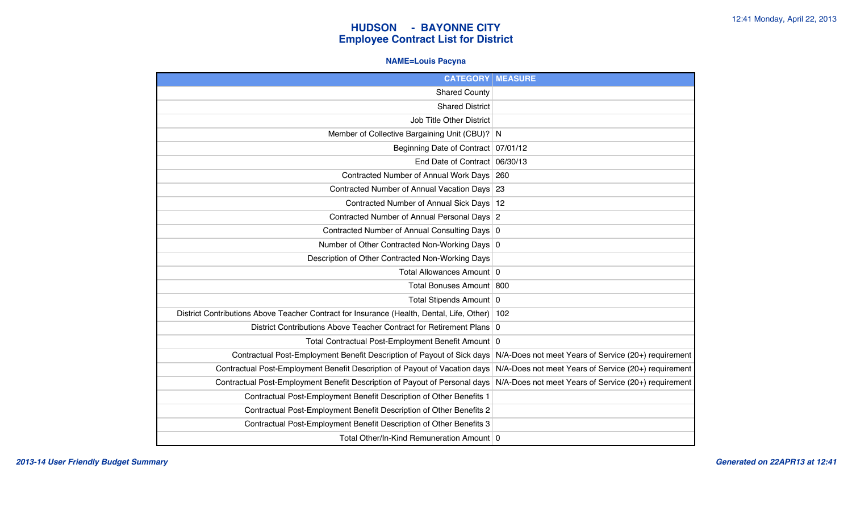### **NAME=Louis Pacyna**

| <b>CATEGORY</b>                                                                           | <b>MEASURE</b>                                       |
|-------------------------------------------------------------------------------------------|------------------------------------------------------|
| <b>Shared County</b>                                                                      |                                                      |
| <b>Shared District</b>                                                                    |                                                      |
| Job Title Other District                                                                  |                                                      |
| Member of Collective Bargaining Unit (CBU)? N                                             |                                                      |
| Beginning Date of Contract   07/01/12                                                     |                                                      |
| End Date of Contract                                                                      | 06/30/13                                             |
| Contracted Number of Annual Work Days                                                     | 260                                                  |
| Contracted Number of Annual Vacation Days                                                 | 23                                                   |
| <b>Contracted Number of Annual Sick Days</b>                                              | 12                                                   |
| Contracted Number of Annual Personal Days 2                                               |                                                      |
| Contracted Number of Annual Consulting Days 0                                             |                                                      |
| Number of Other Contracted Non-Working Days 0                                             |                                                      |
| Description of Other Contracted Non-Working Days                                          |                                                      |
| Total Allowances Amount 0                                                                 |                                                      |
| Total Bonuses Amount 800                                                                  |                                                      |
| Total Stipends Amount   0                                                                 |                                                      |
| District Contributions Above Teacher Contract for Insurance (Health, Dental, Life, Other) | 102                                                  |
| District Contributions Above Teacher Contract for Retirement Plans 0                      |                                                      |
| Total Contractual Post-Employment Benefit Amount 0                                        |                                                      |
| Contractual Post-Employment Benefit Description of Payout of Sick days                    | N/A-Does not meet Years of Service (20+) requirement |
| Contractual Post-Employment Benefit Description of Payout of Vacation days                | N/A-Does not meet Years of Service (20+) requirement |
| Contractual Post-Employment Benefit Description of Payout of Personal days                | N/A-Does not meet Years of Service (20+) requirement |
| Contractual Post-Employment Benefit Description of Other Benefits 1                       |                                                      |
| Contractual Post-Employment Benefit Description of Other Benefits 2                       |                                                      |
| Contractual Post-Employment Benefit Description of Other Benefits 3                       |                                                      |
| Total Other/In-Kind Remuneration Amount 0                                                 |                                                      |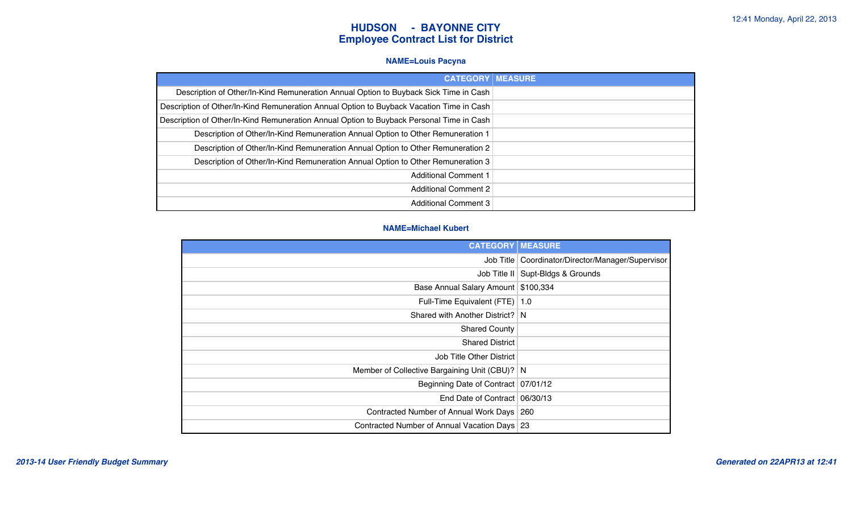#### **NAME=Louis Pacyna**

| <b>CATEGORY</b>                                                                          | <b>MEASURE</b> |
|------------------------------------------------------------------------------------------|----------------|
| Description of Other/In-Kind Remuneration Annual Option to Buyback Sick Time in Cash     |                |
| Description of Other/In-Kind Remuneration Annual Option to Buyback Vacation Time in Cash |                |
| Description of Other/In-Kind Remuneration Annual Option to Buyback Personal Time in Cash |                |
| Description of Other/In-Kind Remuneration Annual Option to Other Remuneration 1          |                |
| Description of Other/In-Kind Remuneration Annual Option to Other Remuneration 2          |                |
| Description of Other/In-Kind Remuneration Annual Option to Other Remuneration 3          |                |
| <b>Additional Comment 1</b>                                                              |                |
| Additional Comment 2                                                                     |                |
| <b>Additional Comment 3</b>                                                              |                |

#### **NAME=Michael Kubert**

| <b>CATEGORY   MEASURE</b>                     |                                                     |
|-----------------------------------------------|-----------------------------------------------------|
|                                               | Job Title   Coordinator/Director/Manager/Supervisor |
|                                               | Job Title II   Supt-Bldgs & Grounds                 |
| Base Annual Salary Amount   \$100,334         |                                                     |
| Full-Time Equivalent (FTE) 1.0                |                                                     |
| Shared with Another District? N               |                                                     |
| <b>Shared County</b>                          |                                                     |
| <b>Shared District</b>                        |                                                     |
| Job Title Other District                      |                                                     |
| Member of Collective Bargaining Unit (CBU)? N |                                                     |
| Beginning Date of Contract 07/01/12           |                                                     |
| End Date of Contract 06/30/13                 |                                                     |
| Contracted Number of Annual Work Days   260   |                                                     |
| Contracted Number of Annual Vacation Days 23  |                                                     |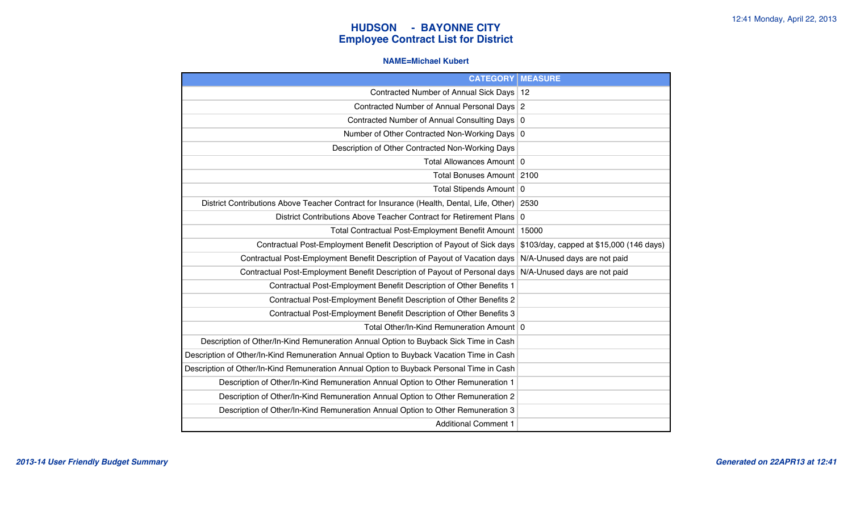#### **NAME=Michael Kubert**

| <b>CATEGORY</b>                                                                           | <b>MEASURE</b>                           |
|-------------------------------------------------------------------------------------------|------------------------------------------|
| Contracted Number of Annual Sick Days                                                     | 12                                       |
| Contracted Number of Annual Personal Days 2                                               |                                          |
| Contracted Number of Annual Consulting Days 0                                             |                                          |
| Number of Other Contracted Non-Working Days 0                                             |                                          |
| Description of Other Contracted Non-Working Days                                          |                                          |
| Total Allowances Amount 0                                                                 |                                          |
| Total Bonuses Amount   2100                                                               |                                          |
| Total Stipends Amount   0                                                                 |                                          |
| District Contributions Above Teacher Contract for Insurance (Health, Dental, Life, Other) | 2530                                     |
| District Contributions Above Teacher Contract for Retirement Plans                        | $\mathbf 0$                              |
| Total Contractual Post-Employment Benefit Amount                                          | 15000                                    |
| Contractual Post-Employment Benefit Description of Payout of Sick days                    | \$103/day, capped at \$15,000 (146 days) |
| Contractual Post-Employment Benefit Description of Payout of Vacation days                | N/A-Unused days are not paid             |
| Contractual Post-Employment Benefit Description of Payout of Personal days                | N/A-Unused days are not paid             |
| Contractual Post-Employment Benefit Description of Other Benefits 1                       |                                          |
| Contractual Post-Employment Benefit Description of Other Benefits 2                       |                                          |
| Contractual Post-Employment Benefit Description of Other Benefits 3                       |                                          |
| Total Other/In-Kind Remuneration Amount   0                                               |                                          |
| Description of Other/In-Kind Remuneration Annual Option to Buyback Sick Time in Cash      |                                          |
| Description of Other/In-Kind Remuneration Annual Option to Buyback Vacation Time in Cash  |                                          |
| Description of Other/In-Kind Remuneration Annual Option to Buyback Personal Time in Cash  |                                          |
| Description of Other/In-Kind Remuneration Annual Option to Other Remuneration 1           |                                          |
| Description of Other/In-Kind Remuneration Annual Option to Other Remuneration 2           |                                          |
| Description of Other/In-Kind Remuneration Annual Option to Other Remuneration 3           |                                          |
| <b>Additional Comment 1</b>                                                               |                                          |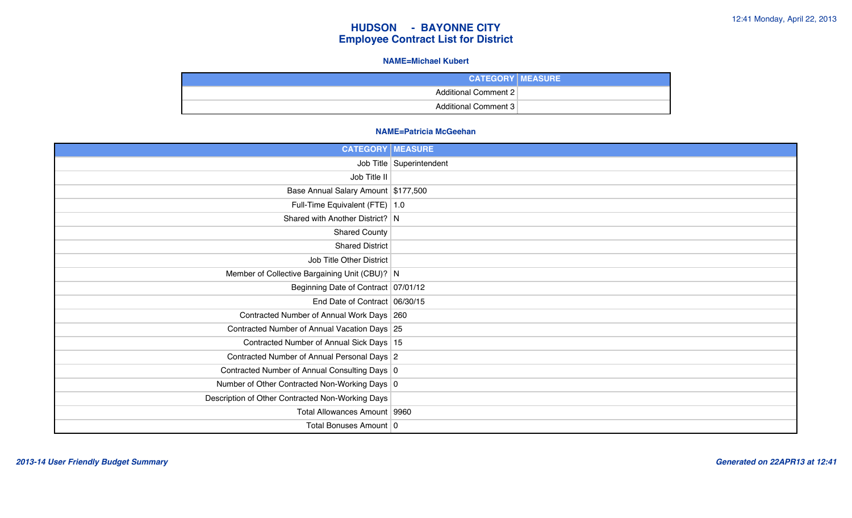#### **NAME=Michael Kubert**

| <b>CATEGORY   MEASURE</b>   |
|-----------------------------|
| Additional Comment 2        |
| <b>Additional Comment 3</b> |

#### **NAME=Patricia McGeehan**

| <b>CATEGORY   MEASURE</b>                        |                            |
|--------------------------------------------------|----------------------------|
|                                                  | Job Title   Superintendent |
| Job Title II                                     |                            |
| Base Annual Salary Amount \$177,500              |                            |
| Full-Time Equivalent (FTE)   1.0                 |                            |
| Shared with Another District? N                  |                            |
| <b>Shared County</b>                             |                            |
| <b>Shared District</b>                           |                            |
| Job Title Other District                         |                            |
| Member of Collective Bargaining Unit (CBU)? N    |                            |
| Beginning Date of Contract 07/01/12              |                            |
| End Date of Contract 06/30/15                    |                            |
| Contracted Number of Annual Work Days 260        |                            |
| Contracted Number of Annual Vacation Days 25     |                            |
| Contracted Number of Annual Sick Days 15         |                            |
| Contracted Number of Annual Personal Days 2      |                            |
| Contracted Number of Annual Consulting Days 0    |                            |
| Number of Other Contracted Non-Working Days 0    |                            |
| Description of Other Contracted Non-Working Days |                            |
| Total Allowances Amount   9960                   |                            |
| Total Bonuses Amount 0                           |                            |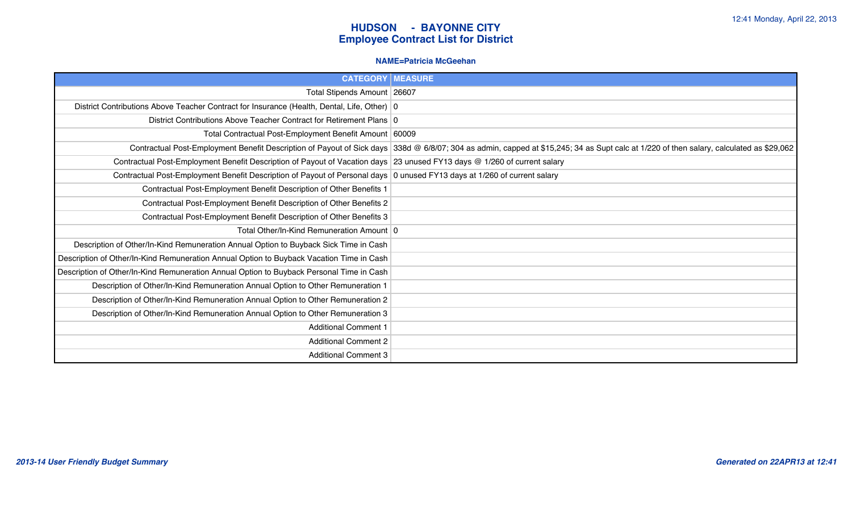#### **NAME=Patricia McGeehan**

| <b>CATEGORY   MEASURE</b>                                                                                                |                                                                                                                                                                                         |
|--------------------------------------------------------------------------------------------------------------------------|-----------------------------------------------------------------------------------------------------------------------------------------------------------------------------------------|
| Total Stipends Amount 26607                                                                                              |                                                                                                                                                                                         |
| District Contributions Above Teacher Contract for Insurance (Health, Dental, Life, Other)   0                            |                                                                                                                                                                                         |
| District Contributions Above Teacher Contract for Retirement Plans 0                                                     |                                                                                                                                                                                         |
| Total Contractual Post-Employment Benefit Amount 60009                                                                   |                                                                                                                                                                                         |
|                                                                                                                          | Contractual Post-Employment Benefit Description of Payout of Sick days 338d @ 6/8/07; 304 as admin, capped at \$15,245; 34 as Supt calc at 1/220 of then salary, calculated as \$29,062 |
| Contractual Post-Employment Benefit Description of Payout of Vacation days 23 unused FY13 days @ 1/260 of current salary |                                                                                                                                                                                         |
| Contractual Post-Employment Benefit Description of Payout of Personal days 0 unused FY13 days at 1/260 of current salary |                                                                                                                                                                                         |
| Contractual Post-Employment Benefit Description of Other Benefits 1                                                      |                                                                                                                                                                                         |
| Contractual Post-Employment Benefit Description of Other Benefits 2                                                      |                                                                                                                                                                                         |
| Contractual Post-Employment Benefit Description of Other Benefits 3                                                      |                                                                                                                                                                                         |
| Total Other/In-Kind Remuneration Amount   0                                                                              |                                                                                                                                                                                         |
| Description of Other/In-Kind Remuneration Annual Option to Buyback Sick Time in Cash                                     |                                                                                                                                                                                         |
| Description of Other/In-Kind Remuneration Annual Option to Buyback Vacation Time in Cash                                 |                                                                                                                                                                                         |
| Description of Other/In-Kind Remuneration Annual Option to Buyback Personal Time in Cash                                 |                                                                                                                                                                                         |
| Description of Other/In-Kind Remuneration Annual Option to Other Remuneration 1                                          |                                                                                                                                                                                         |
| Description of Other/In-Kind Remuneration Annual Option to Other Remuneration 2                                          |                                                                                                                                                                                         |
| Description of Other/In-Kind Remuneration Annual Option to Other Remuneration 3                                          |                                                                                                                                                                                         |
| <b>Additional Comment 1</b>                                                                                              |                                                                                                                                                                                         |
| <b>Additional Comment 2</b>                                                                                              |                                                                                                                                                                                         |
| <b>Additional Comment 3</b>                                                                                              |                                                                                                                                                                                         |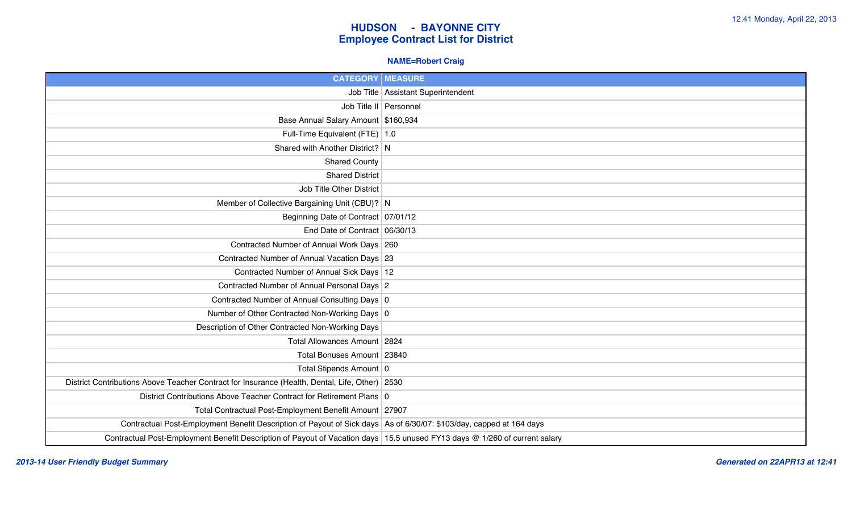### **NAME=Robert Craig**

| <b>CATEGORY   MEASURE</b>                                                                                                  |                                      |
|----------------------------------------------------------------------------------------------------------------------------|--------------------------------------|
|                                                                                                                            | Job Title   Assistant Superintendent |
|                                                                                                                            | Job Title II Personnel               |
| Base Annual Salary Amount \$160,934                                                                                        |                                      |
| Full-Time Equivalent (FTE) 1.0                                                                                             |                                      |
| Shared with Another District? N                                                                                            |                                      |
| <b>Shared County</b>                                                                                                       |                                      |
| <b>Shared District</b>                                                                                                     |                                      |
| Job Title Other District                                                                                                   |                                      |
| Member of Collective Bargaining Unit (CBU)? N                                                                              |                                      |
| Beginning Date of Contract 07/01/12                                                                                        |                                      |
| End Date of Contract 06/30/13                                                                                              |                                      |
| Contracted Number of Annual Work Days 260                                                                                  |                                      |
| Contracted Number of Annual Vacation Days 23                                                                               |                                      |
| Contracted Number of Annual Sick Days 12                                                                                   |                                      |
| Contracted Number of Annual Personal Days 2                                                                                |                                      |
| Contracted Number of Annual Consulting Days 0                                                                              |                                      |
| Number of Other Contracted Non-Working Days 0                                                                              |                                      |
| Description of Other Contracted Non-Working Days                                                                           |                                      |
| Total Allowances Amount 2824                                                                                               |                                      |
| Total Bonuses Amount   23840                                                                                               |                                      |
| Total Stipends Amount 0                                                                                                    |                                      |
| District Contributions Above Teacher Contract for Insurance (Health, Dental, Life, Other) 2530                             |                                      |
| District Contributions Above Teacher Contract for Retirement Plans 0                                                       |                                      |
| Total Contractual Post-Employment Benefit Amount 27907                                                                     |                                      |
| Contractual Post-Employment Benefit Description of Payout of Sick days As of 6/30/07: \$103/day, capped at 164 days        |                                      |
| Contractual Post-Employment Benefit Description of Payout of Vacation days 15.5 unused FY13 days @ 1/260 of current salary |                                      |

*2013-14 User Friendly Budget Summary Generated on 22APR13 at 12:41*